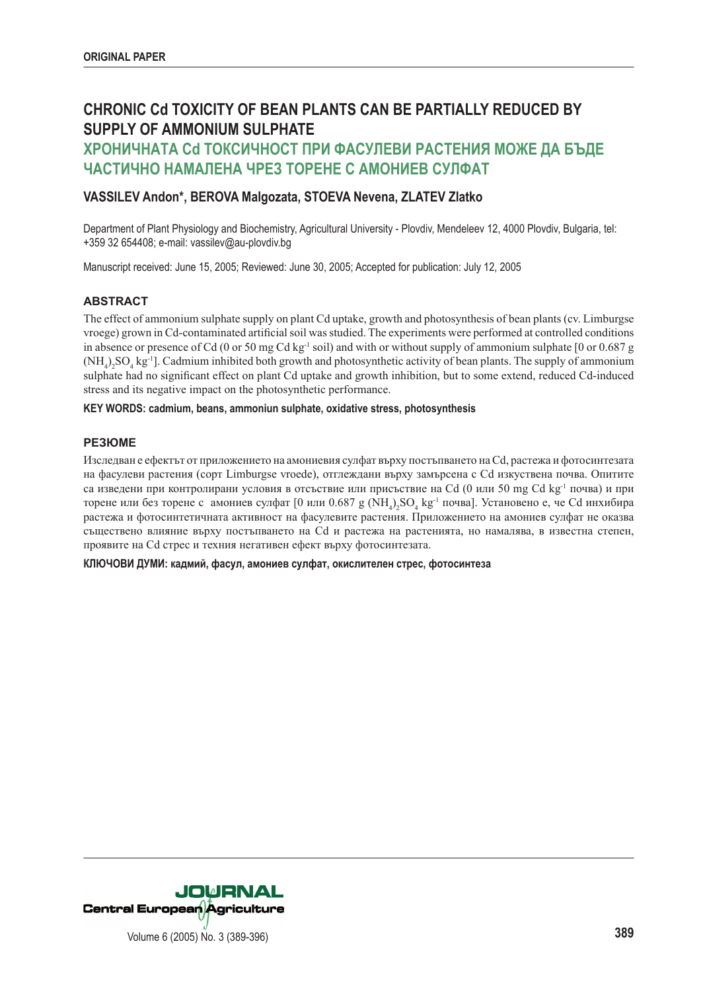# **CHRONIC Cd TOXICITY OF BEAN PLANTS CAN BE PARTIALLY REDUCED BY SUPPLY OF AMMONIUM SULPHATE**

# **ХРОНИЧНАТА Cd ТОКСИЧНОСТ ПРИ ФАСУЛЕВИ РАСТЕНИЯ МОЖЕ ДА БЪДЕ ЧАСТИЧНО НАМАЛЕНА ЧРЕЗ ТОРЕНЕ С АМОНИЕВ СУЛФАТ**

# **VASSILEV Andon\*, BEROVA Malgozata, STOEVA Nevena, ZLATEV Zlatko**

Department of Plant Physiology and Biochemistry, Agricultural University - Plovdiv, Mendeleev 12, 4000 Plovdiv, Bulgaria, tel: +359 32 654408; e-mail: vassilev@au-plovdiv.bg

Manuscript received: June 15, 2005; Reviewed: June 30, 2005; Accepted for publication: July 12, 2005

# **ABSTRACT**

The effect of ammonium sulphate supply on plant Cd uptake, growth and photosynthesis of bean plants (cv. Limburgse vroege) grown in Cd-contaminated artificial soil was studied. The experiments were performed at controlled conditions in absence or presence of Cd (0 or 50 mg Cd kg<sup>-1</sup> soil) and with or without supply of ammonium sulphate  $[0 \text{ or } 0.687 \text{ g}]$  $(NH_4)_2SO_4$  kg<sup>-1</sup>]. Cadmium inhibited both growth and photosynthetic activity of bean plants. The supply of ammonium sulphate had no significant effect on plant Cd uptake and growth inhibition, but to some extend, reduced Cd-induced stress and its negative impact on the photosynthetic performance.

## **KEY WORDS: cadmium, beans, ammoniun sulphate, oxidative stress, photosynthesis**

# **РЕЗЮМЕ**

Изследван е ефектът от приложението на амониевия сулфат върху постъпването на Cd, растежа и фотосинтезата на фасулеви растения (сорт Limburgse vroede), отглеждани върху замърсена с Cd изкуствена почва. Опитите са изведени при контролирани условия в отсъствие или присъствие на Cd (0 или 50 mg Cd kg-1 почва) и при торене или без торене с амониев сулфат [0 или 0.687 g (NH<sub>4</sub>)<sub>2</sub>SO<sub>4</sub> kg<sup>-1</sup> почва]. Установено е, че Cd инхибира растежа и фотосинтетичната активност на фасулевите растения. Приложението на амониев сулфат не оказва съществено влияние върху постъпването на Cd и растежа на растенията, но намалява, в известна степен, проявите на Cd стрес и техния негативен ефект върху фотосинтезата.

**КЛЮЧОВИ ДУМИ: кадмий, фасул, амониев сулфат, окислителен стрес, фотосинтеза**

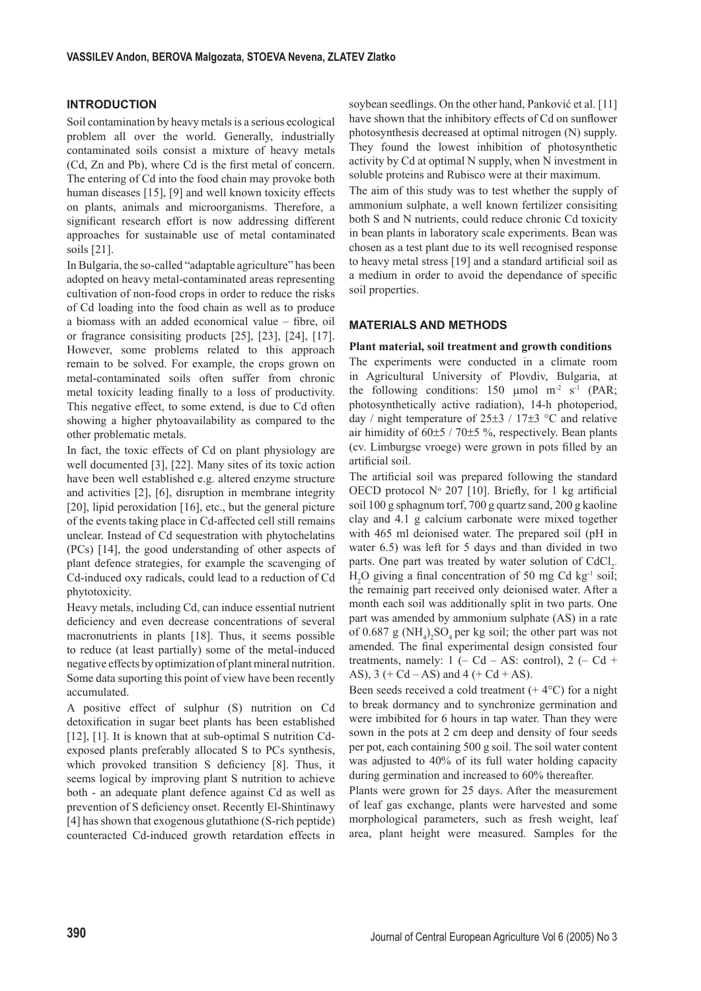## **INTRODUCTION**

Soil contamination by heavy metals is a serious ecological problem all over the world. Generally, industrially contaminated soils consist a mixture of heavy metals (Cd, Zn and Pb), where Cd is the first metal of concern. The entering of Cd into the food chain may provoke both human diseases [15], [9] and well known toxicity effects on plants, animals and microorganisms. Therefore, a significant research effort is now addressing different approaches for sustainable use of metal contaminated soils [21].

In Bulgaria, the so-called "adaptable agriculture" has been adopted on heavy metal-contaminated areas representing cultivation of non-food crops in order to reduce the risks of Cd loading into the food chain as well as to produce a biomass with an added economical value  $-$  fibre, oil or fragrance consisiting products [25], [23], [24], [17]. However, some problems related to this approach remain to be solved. For example, the crops grown on metal-contaminated soils often suffer from chronic metal toxicity leading finally to a loss of productivity. This negative effect, to some extend, is due to Cd often showing a higher phytoavailability as compared to the other problematic metals.

In fact, the toxic effects of Cd on plant physiology are well documented [3], [22]. Many sites of its toxic action have been well established e.g. altered enzyme structure and activities [2], [6], disruption in membrane integrity [20], lipid peroxidation [16], etc., but the general picture of the events taking place in Cd-affected cell still remains unclear. Instead of Cd sequestration with phytochelatins (PCs) [14], the good understanding of other aspects of plant defence strategies, for example the scavenging of Cd-induced oxy radicals, could lead to a reduction of Cd phytotoxicity.

Heavy metals, including Cd, can induce essential nutrient deficiency and even decrease concentrations of several macronutrients in plants [18]. Thus, it seems possible to reduce (at least partially) some of the metal-induced negative effects by optimization of plant mineral nutrition. Some data suporting this point of view have been recently accumulated.

A positive effect of sulphur (S) nutrition on Cd detoxification in sugar beet plants has been established [12], [1]. It is known that at sub-optimal S nutrition Cdexposed plants preferably allocated S to PCs synthesis, which provoked transition S deficiency [8]. Thus, it seems logical by improving plant S nutrition to achieve both - an adequate plant defence against Cd as well as prevention of S deficiency onset. Recently El-Shintinawy [4] has shown that exogenous glutathione (S-rich peptide) counteracted Cd-induced growth retardation effects in

soybean seedlings. On the other hand, Panković et al. [11] have shown that the inhibitory effects of Cd on sunflower photosynthesis decreased at optimal nitrogen (N) supply. They found the lowest inhibition of photosynthetic activity by Cd at optimal N supply, when N investment in soluble proteins and Rubisco were at their maximum.

The aim of this study was to test whether the supply of ammonium sulphate, a well known fertilizer consisiting both S and N nutrients, could reduce chronic Cd toxicity in bean plants in laboratory scale experiments. Bean was chosen as a test plant due to its well recognised response to heavy metal stress  $[19]$  and a standard artificial soil as a medium in order to avoid the dependance of specific soil properties.

# **MATERIALS AND METHODS**

#### **Plant material, soil treatment and growth conditions**

The experiments were conducted in a climate room in Agricultural University of Plovdiv, Bulgaria, at the following conditions: 150  $\mu$ mol m<sup>-2</sup> s<sup>-1</sup> (PAR; photosynthetically active radiation), 14-h photoperiod, day / night temperature of  $25\pm3$  /  $17\pm3$  °C and relative air himidity of  $60±5 / 70±5 \%$ , respectively. Bean plants (cv. Limburgse vroege) were grown in pots filled by an artificial soil.

The artificial soil was prepared following the standard OECD protocol  $N^{\circ}$  207 [10]. Briefly, for 1 kg artificial soil 100 g sphagnum torf, 700 g quartz sand, 200 g kaoline clay and 4.1 g calcium carbonate were mixed together with 465 ml deionised water. The prepared soil (pH in water 6.5) was left for 5 days and than divided in two parts. One part was treated by water solution of  $CdCl<sub>2</sub>$ .  $H_2O$  giving a final concentration of 50 mg Cd kg<sup>-1</sup> soil; the remainig part received only deionised water. After a month each soil was additionally split in two parts. One part was amended by ammonium sulphate (AS) in a rate of 0.687 g ( $NH_4$ )<sub>2</sub>SO<sub>4</sub> per kg soil; the other part was not amended. The final experimental design consisted four treatments, namely:  $1 (-Cd - AS: control), 2 (-Cd +$ AS),  $3 (+ Cd - AS)$  and  $4 (+ Cd + AS)$ .

Been seeds received a cold treatment  $(+ 4^{\circ}C)$  for a night to break dormancy and to synchronize germination and were imbibited for 6 hours in tap water. Than they were sown in the pots at 2 cm deep and density of four seeds per pot, each containing 500 g soil. The soil water content was adjusted to 40% of its full water holding capacity during germination and increased to 60% thereafter.

Plants were grown for 25 days. After the measurement of leaf gas exchange, plants were harvested and some morphological parameters, such as fresh weight, leaf area, plant height were measured. Samples for the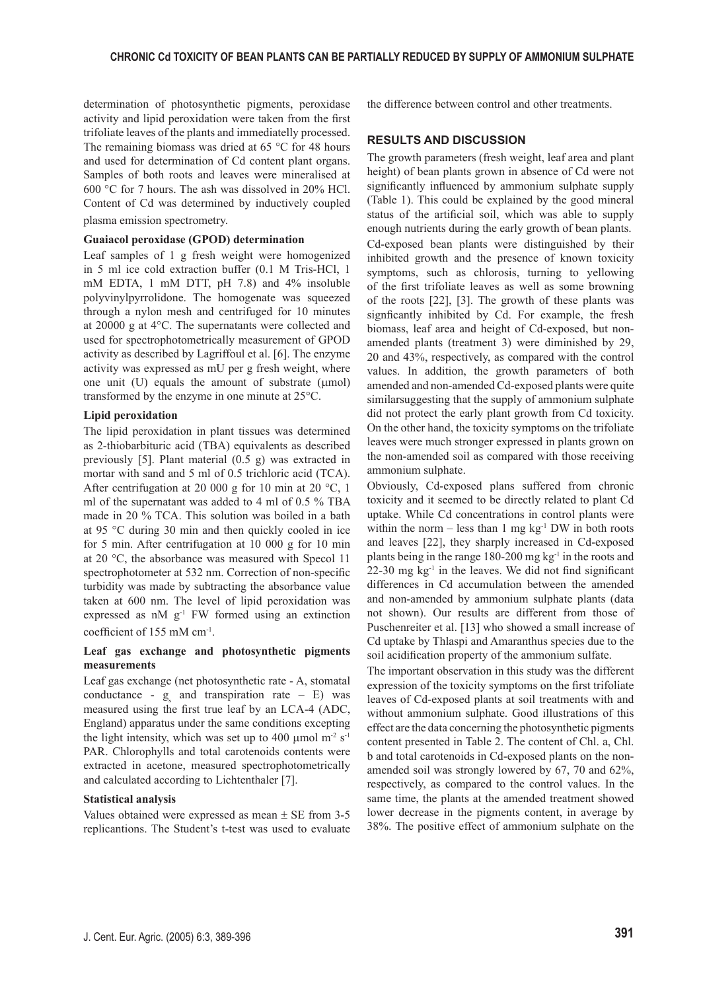determination of photosynthetic pigments, peroxidase activity and lipid peroxidation were taken from the first trifoliate leaves of the plants and immediatelly processed. The remaining biomass was dried at 65 °C for 48 hours and used for determination of Cd content plant organs. Samples of both roots and leaves were mineralised at 600 °C for 7 hours. The ash was dissolved in 20% HCl. Content of Cd was determined by inductively coupled plasma emission spectrometry.

#### **Guaiacol peroxidase (GPOD) determination**

Leaf samples of 1 g fresh weight were homogenized in 5 ml ice cold extraction buffer (0.1 M Tris-HCl, 1 mM EDTA, 1 mM DTT, pH 7.8) and 4% insoluble polyvinylpyrrolidone. The homogenate was squeezed through a nylon mesh and centrifuged for 10 minutes at 20000 g at 4°C. The supernatants were collected and used for spectrophotometrically measurement of GPOD activity as described by Lagriffoul et al. [6]. The enzyme activity was expressed as mU per g fresh weight, where one unit  $(U)$  equals the amount of substrate ( $\mu$ mol) transformed by the enzyme in one minute at 25°C.

## **Lipid peroxidation**

The lipid peroxidation in plant tissues was determined as 2-thiobarbituric acid (TBA) equivalents as described previously [5]. Plant material (0.5 g) was extracted in mortar with sand and 5 ml of 0.5 trichloric acid (TCA). After centrifugation at 20 000 g for 10 min at 20  $^{\circ}$ C, 1 ml of the supernatant was added to 4 ml of 0.5 % TBA made in 20 % TCA. This solution was boiled in a bath at 95 °C during 30 min and then quickly cooled in ice for 5 min. After centrifugation at 10 000 g for 10 min at 20 °C, the absorbance was measured with Specol 11 spectrophotometer at 532 nm. Correction of non-specific turbidity was made by subtracting the absorbance value taken at 600 nm. The level of lipid peroxidation was expressed as  $nM$   $g^{-1}$  FW formed using an extinction coefficient of 155 mM cm<sup>-1</sup>.

# **Leaf gas exchange and photosynthetic pigments measurements**

Leaf gas exchange (net photosynthetic rate - A, stomatal conductance -  $g_s$  and transpiration rate – E) was measured using the first true leaf by an LCA-4 (ADC, England) apparatus under the same conditions excepting the light intensity, which was set up to 400  $\mu$ mol m<sup>-2</sup> s<sup>-1</sup> PAR. Chlorophylls and total carotenoids contents were extracted in acetone, measured spectrophotometrically and calculated according to Lichtenthaler [7].

## **Statistical analysis**

Values obtained were expressed as mean  $\pm$  SE from 3-5 replicantions. The Student's t-test was used to evaluate the difference between control and other treatments.

# **RESULTS AND DISCUSSION**

The growth parameters (fresh weight, leaf area and plant height) of bean plants grown in absence of Cd were not significantly influenced by ammonium sulphate supply (Table 1). This could be explained by the good mineral status of the artificial soil, which was able to supply enough nutrients during the early growth of bean plants. Cd-exposed bean plants were distinguished by their inhibited growth and the presence of known toxicity symptoms, such as chlorosis, turning to yellowing of the first trifoliate leaves as well as some browning of the roots [22], [3]. The growth of these plants was signficantly inhibited by Cd. For example, the fresh biomass, leaf area and height of Cd-exposed, but nonamended plants (treatment 3) were diminished by 29, 20 and 43%, respectively, as compared with the control values. In addition, the growth parameters of both amended and non-amended Cd-exposed plants were quite similarsuggesting that the supply of ammonium sulphate did not protect the early plant growth from Cd toxicity. On the other hand, the toxicity symptoms on the trifoliate leaves were much stronger expressed in plants grown on the non-amended soil as compared with those receiving ammonium sulphate.

Obviously, Cd-exposed plans suffered from chronic toxicity and it seemed to be directly related to plant Cd uptake. While Cd concentrations in control plants were within the norm – less than 1 mg  $kg<sup>-1</sup> DW$  in both roots and leaves [22], they sharply increased in Cd-exposed plants being in the range  $180-200$  mg kg<sup>-1</sup> in the roots and  $22-30$  mg kg<sup>-1</sup> in the leaves. We did not find significant differences in Cd accumulation between the amended and non-amended by ammonium sulphate plants (data not shown). Our results are different from those of Puschenreiter et al. [13] who showed a small increase of Cd uptake by Thlaspi and Amaranthus species due to the soil acidification property of the ammonium sulfate.

The important observation in this study was the different expression of the toxicity symptoms on the first trifoliate leaves of Cd-exposed plants at soil treatments with and without ammonium sulphate. Good illustrations of this effect are the data concerning the photosynthetic pigments content presented in Table 2. The content of Chl. a, Chl. b and total carotenoids in Cd-exposed plants on the nonamended soil was strongly lowered by 67, 70 and 62%, respectively, as compared to the control values. In the same time, the plants at the amended treatment showed lower decrease in the pigments content, in average by 38%. The positive effect of ammonium sulphate on the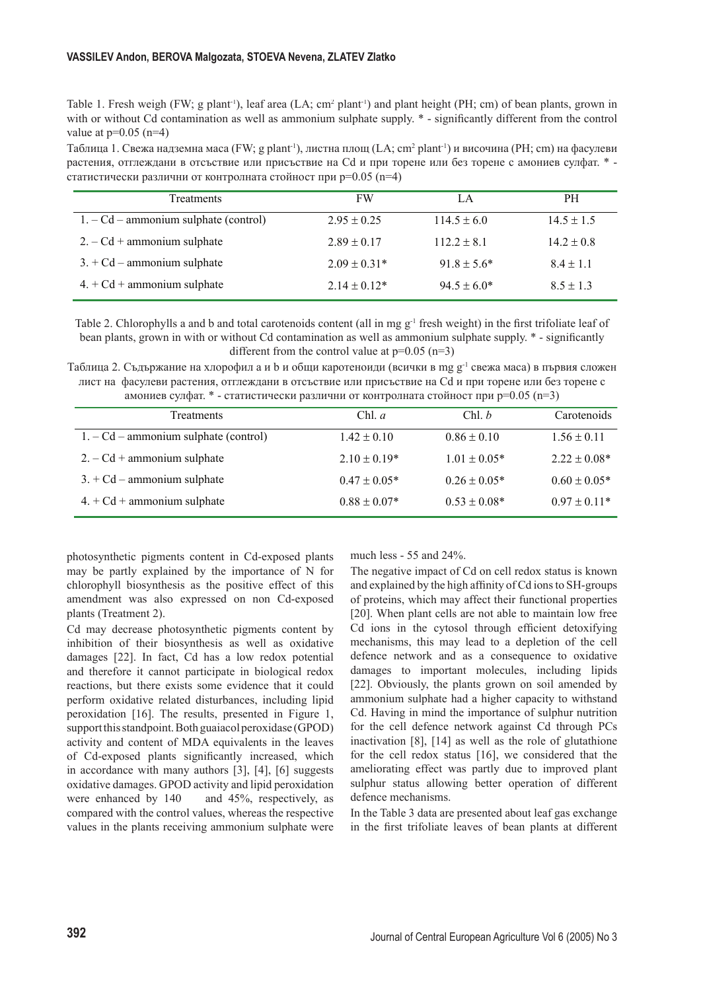Table 1. Fresh weigh (FW; g plant<sup>1</sup>), leaf area (LA;  $cm<sup>2</sup>$  plant<sup>1</sup>) and plant height (PH; cm) of bean plants, grown in with or without Cd contamination as well as ammonium sulphate supply.  $*$  - significantly different from the control value at  $p=0.05$  (n=4)

Таблица 1. Свежа надземна маса (FW; g plant '), листна площ (LA; cm<sup>2</sup> plant ') и височина (PH; cm) на фасулеви растения, отглеждани в отсъствие или присъствие на Cd и при торене или без торене с амониев сулфат. \* статистически различни от контролната стойност при p=0.05 (n=4)

| <b>Treatments</b>                       | <b>FW</b>        | LA               | <b>PH</b>      |
|-----------------------------------------|------------------|------------------|----------------|
| $1. - Cd - ammonium sulphate (control)$ | $2.95 \pm 0.25$  | $114.5 \pm 6.0$  | $14.5 \pm 1.5$ |
| $2. - Cd +$ ammonium sulphate           | $2.89 \pm 0.17$  | $112.2 \pm 8.1$  | $14.2 \pm 0.8$ |
| $3. + Cd -$ ammonium sulphate           | $2.09 \pm 0.31*$ | $91.8 \pm 5.6^*$ | $8.4 \pm 1.1$  |
| $4. + Cd +$ ammonium sulphate           | $2.14 \pm 0.12*$ | $94.5 \pm 6.0^*$ | $8.5 \pm 1.3$  |

Table 2. Chlorophylls a and b and total carotenoids content (all in mg  $g^{-1}$  fresh weight) in the first trifoliate leaf of bean plants, grown in with or without Cd contamination as well as ammonium sulphate supply.  $*$  - significantly different from the control value at  $p=0.05$  (n=3)

Таблица 2. Съдържание на хлорофил a и b и общи каротеноиди (всички в mg g-1 свежа маса) в първия сложен лист на фасулеви растения, отглеждани в отсъствие или присъствие на Cd и при торене или без торене с амониев сулфат. \* - статистически различни от контролната стойност при  $p=0.05$  (n=3)

| <b>Treatments</b>                       | Chl. $a$         | Chl, b           | Carotenoids      |
|-----------------------------------------|------------------|------------------|------------------|
| $1. - Cd - ammonium sulphate (control)$ | $1.42 \pm 0.10$  | $0.86 \pm 0.10$  | $1.56 \pm 0.11$  |
| $2. - Cd +$ ammonium sulphate           | $2.10 \pm 0.19*$ | $1.01 \pm 0.05*$ | $2.22 \pm 0.08*$ |
| $3. + Cd - ammonium sulphate$           | $0.47 \pm 0.05*$ | $0.26 \pm 0.05*$ | $0.60 \pm 0.05*$ |
| $4. + Cd +$ ammonium sulphate           | $0.88 \pm 0.07*$ | $0.53 \pm 0.08*$ | $0.97 \pm 0.11*$ |

photosynthetic pigments content in Cd-exposed plants may be partly explained by the importance of N for chlorophyll biosynthesis as the positive effect of this amendment was also expressed on non Cd-exposed plants (Treatment 2).

Cd may decrease photosynthetic pigments content by inhibition of their biosynthesis as well as oxidative damages [22]. In fact, Cd has a low redox potential and therefore it cannot participate in biological redox reactions, but there exists some evidence that it could perform oxidative related disturbances, including lipid peroxidation [16]. The results, presented in Figure 1, support this standpoint. Both guaiacol peroxidase (GPOD) activity and content of MDA equivalents in the leaves of Cd-exposed plants significantly increased, which in accordance with many authors [3], [4], [6] suggests oxidative damages. GPOD activity and lipid peroxidation were enhanced by 140 and 45%, respectively, as compared with the control values, whereas the respective values in the plants receiving ammonium sulphate were much less - 55 and 24%.

The negative impact of Cd on cell redox status is known and explained by the high affinity of Cd ions to SH-groups of proteins, which may affect their functional properties [20]. When plant cells are not able to maintain low free Cd ions in the cytosol through efficient detoxifying mechanisms, this may lead to a depletion of the cell defence network and as a consequence to oxidative damages to important molecules, including lipids [22]. Obviously, the plants grown on soil amended by ammonium sulphate had a higher capacity to withstand Cd. Having in mind the importance of sulphur nutrition for the cell defence network against Cd through PCs inactivation [8], [14] as well as the role of glutathione for the cell redox status [16], we considered that the ameliorating effect was partly due to improved plant sulphur status allowing better operation of different defence mechanisms.

In the Table 3 data are presented about leaf gas exchange in the first trifoliate leaves of bean plants at different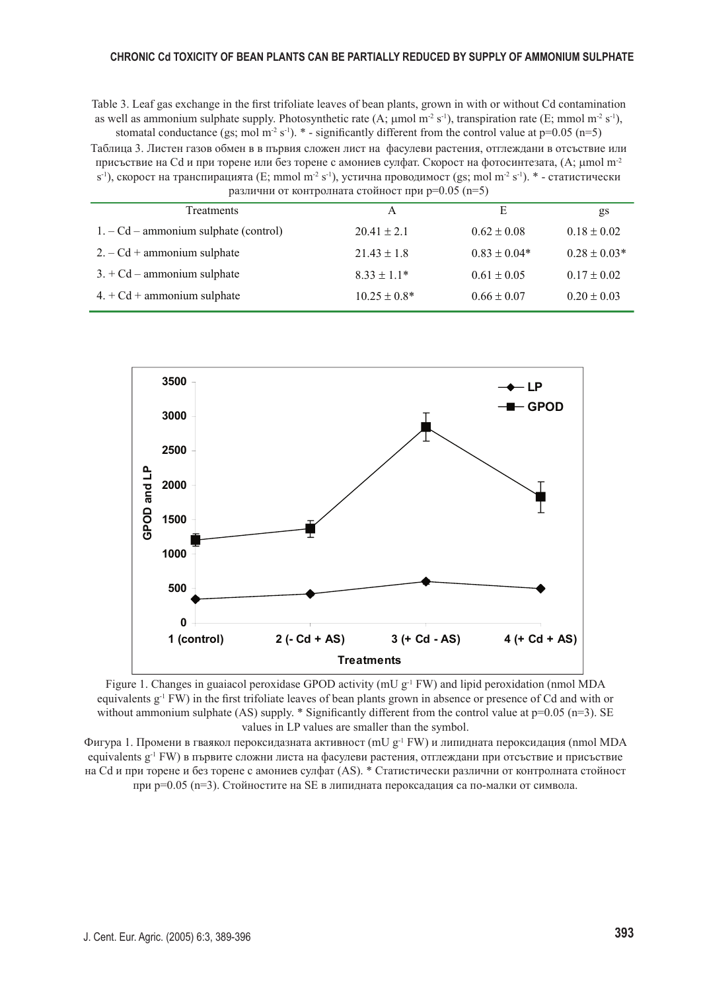Table 3. Leaf gas exchange in the first trifoliate leaves of bean plants, grown in with or without Cd contamination as well as ammonium sulphate supply. Photosynthetic rate (A;  $\mu$ mol m<sup>-2</sup> s<sup>-1</sup>), transpiration rate (E; mmol m<sup>-2</sup> s<sup>-1</sup>), stomatal conductance (gs; mol m<sup>-2</sup> s<sup>-1</sup>). \* - significantly different from the control value at p=0.05 (n=5)

Таблица 3. Листен газов обмен в в първия сложен лист на фасулеви растения, отглеждани в отсъствие или присъствие на Cd и при торене или без торене с амониев сулфат. Скорост на фотосинтезата, (A; µmol m<sup>-2</sup>  $s^{-1}$ ), скорост на транспирацията (E; mmol m<sup>-2</sup> s<sup>-1</sup>), устична проводимост (gs; mol m<sup>-2</sup> s<sup>-1</sup>). \* - статистически различни от контролната стойност при p=0.05 (p=5)

| $\mu$ , $\mu$ , $\mu$ , $\mu$ , $\sigma$ , $\mu$ , $\sigma$ , $\sigma$ , $\mu$ , $\sigma$ , $\sigma$ , $\mu$ , $\sigma$ , $\sigma$ , $\sigma$ , $\sigma$ , $\sigma$ , $\sigma$ , $\sigma$ , $\sigma$ , $\sigma$ , $\sigma$ , $\sigma$ , $\sigma$ , $\sigma$ , $\sigma$ , $\sigma$ , $\sigma$ , $\sigma$ , $\sigma$ , $\sigma$ , $\sigma$ , $\sigma$ , $\sigma$ , $\sigma$ , $\sigma$ , $\sigma$ , |                   |                  |                  |  |
|---------------------------------------------------------------------------------------------------------------------------------------------------------------------------------------------------------------------------------------------------------------------------------------------------------------------------------------------------------------------------------------------------|-------------------|------------------|------------------|--|
| Treatments                                                                                                                                                                                                                                                                                                                                                                                        | A                 | E                | gs               |  |
| $1. - Cd - ammonium sulphate (control)$                                                                                                                                                                                                                                                                                                                                                           | $20.41 \pm 2.1$   | $0.62 \pm 0.08$  | $0.18 \pm 0.02$  |  |
| $2. - Cd +$ ammonium sulphate                                                                                                                                                                                                                                                                                                                                                                     | $21.43 \pm 1.8$   | $0.83 \pm 0.04*$ | $0.28 \pm 0.03*$ |  |
| $3. + Cd - ammonium sulphate$                                                                                                                                                                                                                                                                                                                                                                     | $8.33 \pm 1.1*$   | $0.61 \pm 0.05$  | $0.17 \pm 0.02$  |  |
| $4. + Cd +$ ammonium sulphate                                                                                                                                                                                                                                                                                                                                                                     | $10.25 \pm 0.8^*$ | $0.66 \pm 0.07$  | $0.20 \pm 0.03$  |  |



Figure 1. Changes in guaiacol peroxidase GPOD activity (mU  $g^{-1}$  FW) and lipid peroxidation (nmol MDA equivalents g<sup>-1</sup> FW) in the first trifoliate leaves of bean plants grown in absence or presence of Cd and with or without ammonium sulphate (AS) supply. \* Significantly different from the control value at  $p=0.05$  (n=3). SE values in LP values are smaller than the symbol.

Фигура 1. Промени в гваякол пероксидазната активност (mU g<sup>-1</sup> FW) и липидната пероксидация (nmol MDA equivalents g-1 FW) в първите сложни листа на фасулеви растения, отглеждани при отсъствие и присъствие на Cd и при торене и без торене с амониев сулфат (AS). \* Статистически различни от контролната стойност при p=0.05 (n=3). Стойностите на SE в липидната пероксадация са по-малки от символа.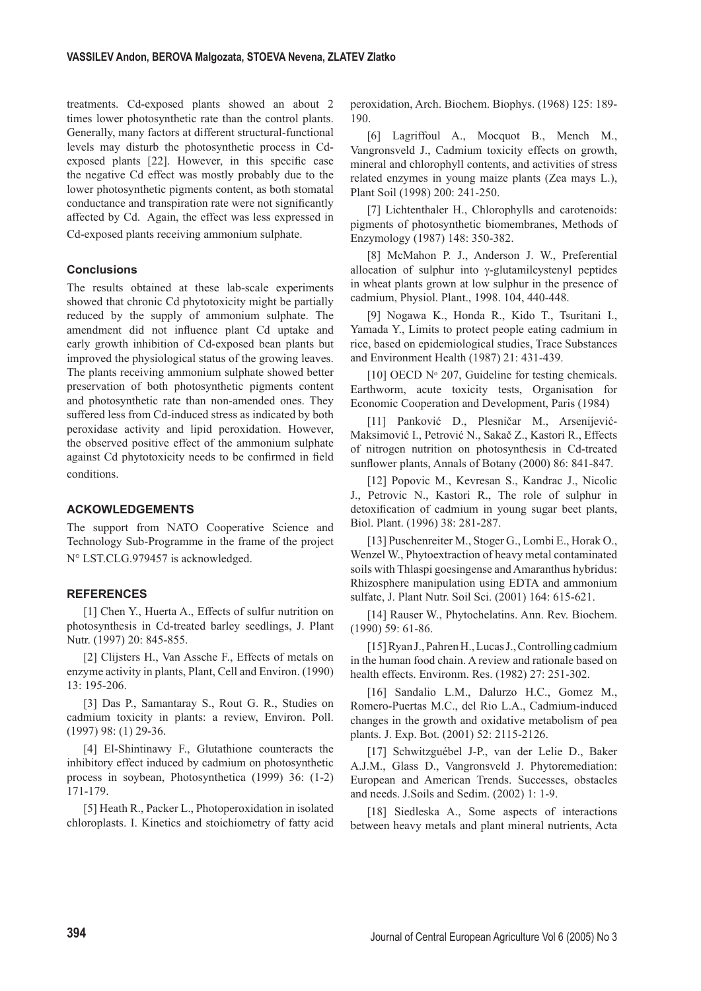treatments. Cd-exposed plants showed an about 2 times lower photosynthetic rate than the control plants. Generally, many factors at different structural-functional levels may disturb the photosynthetic process in Cdexposed plants [22]. However, in this specific case the negative Cd effect was mostly probably due to the lower photosynthetic pigments content, as both stomatal conductance and transpiration rate were not significantly affected by Cd. Again, the effect was less expressed in Cd-exposed plants receiving ammonium sulphate.

# **Conclusions**

The results obtained at these lab-scale experiments showed that chronic Cd phytotoxicity might be partially reduced by the supply of ammonium sulphate. The amendment did not influence plant Cd uptake and early growth inhibition of Cd-exposed bean plants but improved the physiological status of the growing leaves. The plants receiving ammonium sulphate showed better preservation of both photosynthetic pigments content and photosynthetic rate than non-amended ones. They suffered less from Cd-induced stress as indicated by both peroxidase activity and lipid peroxidation. However, the observed positive effect of the ammonium sulphate against Cd phytotoxicity needs to be confirmed in field conditions.

## **ACKOWLEDGEMENTS**

The support from NATO Cooperative Science and Technology Sub-Programme in the frame of the project N° LST.CLG.979457 is acknowledged.

# **REFERENCES**

[1] Chen Y., Huerta A., Effects of sulfur nutrition on photosynthesis in Cd-treated barley seedlings, J. Plant Nutr. (1997) 20: 845-855.

[2] Clijsters H., Van Assche F., Effects of metals on enzyme activity in plants, Plant, Cell and Environ. (1990) 13: 195-206.

[3] Das P., Samantaray S., Rout G. R., Studies on cadmium toxicity in plants: a review, Environ. Poll. (1997) 98: (1) 29-36.

[4] El-Shintinawy F., Glutathione counteracts the inhibitory effect induced by cadmium on photosynthetic process in soybean, Photosynthetica (1999) 36: (1-2) 171-179.

[5] Heath R., Packer L., Photoperoxidation in isolated chloroplasts. I. Kinetics and stoichiometry of fatty acid peroxidation, Arch. Biochem. Biophys. (1968) 125: 189- 190.

[6] Lagriffoul A., Mocquot B., Mench M., Vangronsveld J., Cadmium toxicity effects on growth, mineral and chlorophyll contents, and activities of stress related enzymes in young maize plants (Zea mays L.), Plant Soil (1998) 200: 241-250.

[7] Lichtenthaler H., Chlorophylls and carotenoids: pigments of photosynthetic biomembranes, Methods of Enzymology (1987) 148: 350-382.

[8] McMahon P. J., Anderson J. W., Preferential allocation of sulphur into γ-glutamilcystenyl peptides in wheat plants grown at low sulphur in the presence of cadmium, Physiol. Plant., 1998. 104, 440-448.

[9] Nogawa K., Honda R., Kido T., Tsuritani I., Yamada Y., Limits to protect people eating cadmium in rice, based on epidemiological studies, Trace Substances and Environment Health (1987) 21: 431-439.

[10] OECD  $N^{\circ}$  207, Guideline for testing chemicals. Earthworm, acute toxicity tests, Organisation for Economic Cooperation and Development, Paris (1984)

[11] Panković D., Plesničar M., Arsenijević-Maksimović I., Petrović N., Sakač Z., Kastori R., Effects of nitrogen nutrition on photosynthesis in Cd-treated sunflower plants, Annals of Botany (2000) 86: 841-847.

[12] Popovic M., Kevresan S., Kandrac J., Nicolic J., Petrovic N., Kastori R., The role of sulphur in detoxification of cadmium in young sugar beet plants, Biol. Plant. (1996) 38: 281-287.

[13] Puschenreiter M., Stoger G., Lombi E., Horak O., Wenzel W., Phytoextraction of heavy metal contaminated soils with Thlaspi goesingense and Amaranthus hybridus: Rhizosphere manipulation using EDTA and ammonium sulfate, J. Plant Nutr. Soil Sci. (2001) 164: 615-621.

[14] Rauser W., Phytochelatins. Ann. Rev. Biochem. (1990) 59: 61-86.

[15] Ryan J., Pahren H., Lucas J., Controlling cadmium in the human food chain. A review and rationale based on health effects. Environm. Res. (1982) 27: 251-302.

[16] Sandalio L.M., Dalurzo H.C., Gomez M., Romero-Puertas M.C., del Rio L.A., Cadmium-induced changes in the growth and oxidative metabolism of pea plants. J. Exp. Bot. (2001) 52: 2115-2126.

[17] Schwitzguébel J-P., van der Lelie D., Baker A.J.M., Glass D., Vangronsveld J. Phytoremediation: European and American Trends. Successes, obstacles and needs. J.Soils and Sedim. (2002) 1: 1-9.

[18] Siedleska A., Some aspects of interactions between heavy metals and plant mineral nutrients, Acta